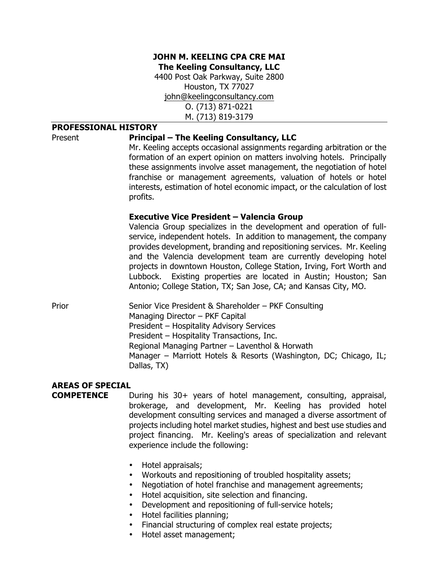#### **JOHN M. KEELING CPA CRE MAI The Keeling Consultancy, LLC**

4400 Post Oak Parkway, Suite 2800 Houston, TX 77027 john@keelingconsultancy.com O. (713) 871-0221 M. (713) 819-3179

#### **PROFESSIONAL HISTORY**

#### Present **Principal – The Keeling Consultancy, LLC**

Mr. Keeling accepts occasional assignments regarding arbitration or the formation of an expert opinion on matters involving hotels. Principally these assignments involve asset management, the negotiation of hotel franchise or management agreements, valuation of hotels or hotel interests, estimation of hotel economic impact, or the calculation of lost profits.

#### **Executive Vice President – Valencia Group**

Valencia Group specializes in the development and operation of fullservice, independent hotels. In addition to management, the company provides development, branding and repositioning services. Mr. Keeling and the Valencia development team are currently developing hotel projects in downtown Houston, College Station, Irving, Fort Worth and Lubbock. Existing properties are located in Austin; Houston; San Antonio; College Station, TX; San Jose, CA; and Kansas City, MO.

Prior Senior Vice President & Shareholder – PKF Consulting Managing Director – PKF Capital President – Hospitality Advisory Services President – Hospitality Transactions, Inc. Regional Managing Partner – Laventhol & Horwath Manager – Marriott Hotels & Resorts (Washington, DC; Chicago, IL; Dallas, TX)

### **AREAS OF SPECIAL**

**COMPETENCE** During his 30+ years of hotel management, consulting, appraisal, brokerage, and development, Mr. Keeling has provided hotel development consulting services and managed a diverse assortment of projects including hotel market studies, highest and best use studies and project financing. Mr. Keeling's areas of specialization and relevant experience include the following:

- Hotel appraisals;
- Workouts and repositioning of troubled hospitality assets;
- Negotiation of hotel franchise and management agreements;
- Hotel acquisition, site selection and financing.
- Development and repositioning of full-service hotels;
- Hotel facilities planning;
- Financial structuring of complex real estate projects;
- Hotel asset management;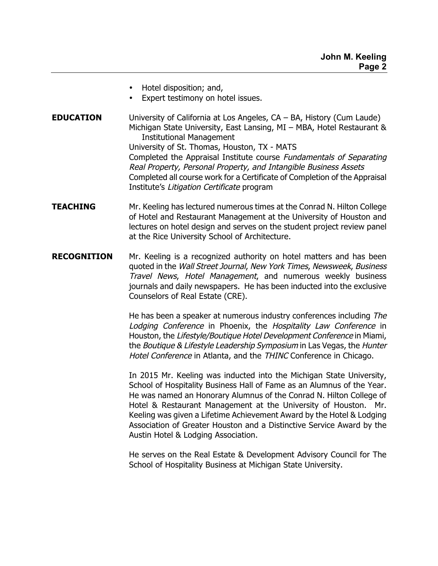- Hotel disposition; and,
- Expert testimony on hotel issues.
- **EDUCATION** University of California at Los Angeles, CA BA, History (Cum Laude) Michigan State University, East Lansing, MI – MBA, Hotel Restaurant & Institutional Management University of St. Thomas, Houston, TX - MATS Completed the Appraisal Institute course Fundamentals of Separating Real Property, Personal Property, and Intangible Business Assets Completed all course work for a Certificate of Completion of the Appraisal Institute's Litigation Certificate program
- **TEACHING** Mr. Keeling has lectured numerous times at the Conrad N. Hilton College of Hotel and Restaurant Management at the University of Houston and lectures on hotel design and serves on the student project review panel at the Rice University School of Architecture.
- **RECOGNITION** Mr. Keeling is a recognized authority on hotel matters and has been quoted in the Wall Street Journal, New York Times, Newsweek, Business Travel News, Hotel Management, and numerous weekly business journals and daily newspapers. He has been inducted into the exclusive Counselors of Real Estate (CRE).

He has been a speaker at numerous industry conferences including The Lodging Conference in Phoenix, the Hospitality Law Conference in Houston, the Lifestyle/Boutique Hotel Development Conference in Miami, the Boutique & Lifestyle Leadership Symposium in Las Vegas, the Hunter Hotel Conference in Atlanta, and the THINC Conference in Chicago.

In 2015 Mr. Keeling was inducted into the Michigan State University, School of Hospitality Business Hall of Fame as an Alumnus of the Year. He was named an Honorary Alumnus of the Conrad N. Hilton College of Hotel & Restaurant Management at the University of Houston. Mr. Keeling was given a Lifetime Achievement Award by the Hotel & Lodging Association of Greater Houston and a Distinctive Service Award by the Austin Hotel & Lodging Association.

He serves on the Real Estate & Development Advisory Council for The School of Hospitality Business at Michigan State University.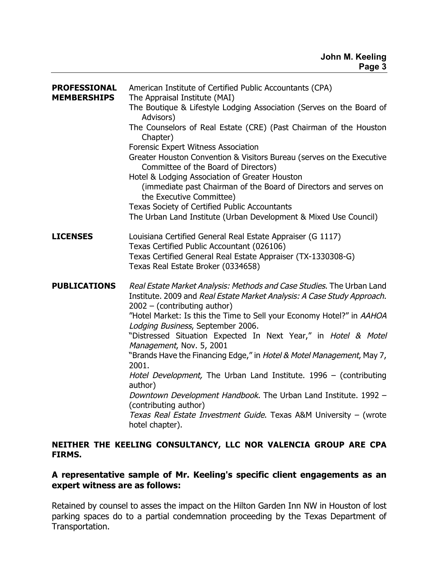| <b>PROFESSIONAL</b><br><b>MEMBERSHIPS</b> | American Institute of Certified Public Accountants (CPA)<br>The Appraisal Institute (MAI)<br>The Boutique & Lifestyle Lodging Association (Serves on the Board of<br>Advisors)<br>The Counselors of Real Estate (CRE) (Past Chairman of the Houston<br>Chapter)<br><b>Forensic Expert Witness Association</b><br>Greater Houston Convention & Visitors Bureau (serves on the Executive<br>Committee of the Board of Directors)<br>Hotel & Lodging Association of Greater Houston<br>(immediate past Chairman of the Board of Directors and serves on<br>the Executive Committee)<br>Texas Society of Certified Public Accountants<br>The Urban Land Institute (Urban Development & Mixed Use Council)                                                |
|-------------------------------------------|------------------------------------------------------------------------------------------------------------------------------------------------------------------------------------------------------------------------------------------------------------------------------------------------------------------------------------------------------------------------------------------------------------------------------------------------------------------------------------------------------------------------------------------------------------------------------------------------------------------------------------------------------------------------------------------------------------------------------------------------------|
| <b>LICENSES</b>                           | Louisiana Certified General Real Estate Appraiser (G 1117)<br>Texas Certified Public Accountant (026106)<br>Texas Certified General Real Estate Appraiser (TX-1330308-G)<br>Texas Real Estate Broker (0334658)                                                                                                                                                                                                                                                                                                                                                                                                                                                                                                                                       |
| <b>PUBLICATIONS</b>                       | Real Estate Market Analysis: Methods and Case Studies. The Urban Land<br>Institute. 2009 and Real Estate Market Analysis: A Case Study Approach.<br>$2002 - (contributing author)$<br>"Hotel Market: Is this the Time to Sell your Economy Hotel?" in AAHOA<br>Lodging Business, September 2006.<br>"Distressed Situation Expected In Next Year," in Hotel & Motel<br>Management, Nov. 5, 2001<br>"Brands Have the Financing Edge," in Hotel & Motel Management, May 7,<br>2001.<br>Hotel Development, The Urban Land Institute. 1996 - (contributing<br>author)<br>Downtown Development Handbook. The Urban Land Institute. 1992 -<br>(contributing author)<br>Texas Real Estate Investment Guide. Texas A&M University - (wrote<br>hotel chapter). |

# **NEITHER THE KEELING CONSULTANCY, LLC NOR VALENCIA GROUP ARE CPA FIRMS.**

## **A representative sample of Mr. Keeling's specific client engagements as an expert witness are as follows:**

Retained by counsel to asses the impact on the Hilton Garden Inn NW in Houston of lost parking spaces do to a partial condemnation proceeding by the Texas Department of Transportation.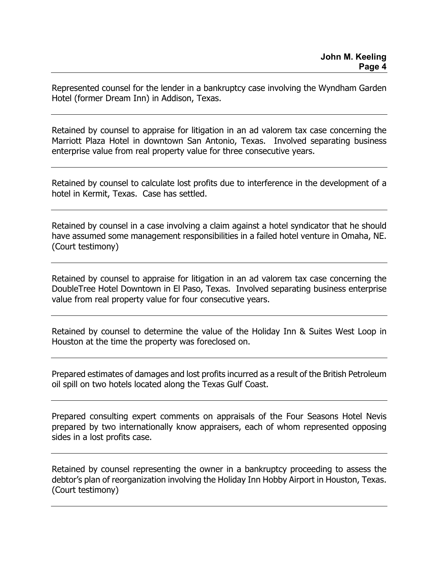Represented counsel for the lender in a bankruptcy case involving the Wyndham Garden Hotel (former Dream Inn) in Addison, Texas.

Retained by counsel to appraise for litigation in an ad valorem tax case concerning the Marriott Plaza Hotel in downtown San Antonio, Texas. Involved separating business enterprise value from real property value for three consecutive years.

Retained by counsel to calculate lost profits due to interference in the development of a hotel in Kermit, Texas. Case has settled.

Retained by counsel in a case involving a claim against a hotel syndicator that he should have assumed some management responsibilities in a failed hotel venture in Omaha, NE. (Court testimony)

Retained by counsel to appraise for litigation in an ad valorem tax case concerning the DoubleTree Hotel Downtown in El Paso, Texas. Involved separating business enterprise value from real property value for four consecutive years.

Retained by counsel to determine the value of the Holiday Inn & Suites West Loop in Houston at the time the property was foreclosed on.

Prepared estimates of damages and lost profits incurred as a result of the British Petroleum oil spill on two hotels located along the Texas Gulf Coast.

Prepared consulting expert comments on appraisals of the Four Seasons Hotel Nevis prepared by two internationally know appraisers, each of whom represented opposing sides in a lost profits case.

Retained by counsel representing the owner in a bankruptcy proceeding to assess the debtor's plan of reorganization involving the Holiday Inn Hobby Airport in Houston, Texas. (Court testimony)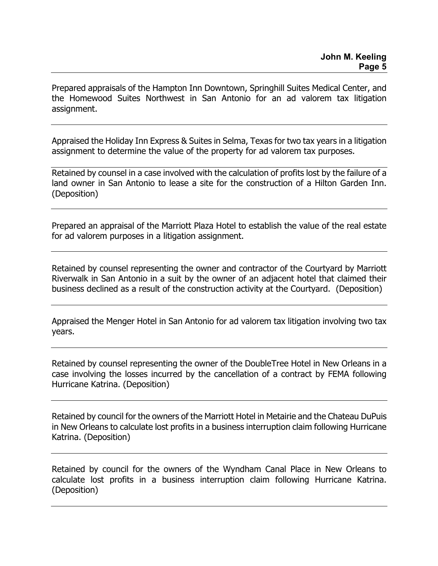Prepared appraisals of the Hampton Inn Downtown, Springhill Suites Medical Center, and the Homewood Suites Northwest in San Antonio for an ad valorem tax litigation assignment.

Appraised the Holiday Inn Express & Suites in Selma, Texas for two tax years in a litigation assignment to determine the value of the property for ad valorem tax purposes.

Retained by counsel in a case involved with the calculation of profits lost by the failure of a land owner in San Antonio to lease a site for the construction of a Hilton Garden Inn. (Deposition)

Prepared an appraisal of the Marriott Plaza Hotel to establish the value of the real estate for ad valorem purposes in a litigation assignment.

Retained by counsel representing the owner and contractor of the Courtyard by Marriott Riverwalk in San Antonio in a suit by the owner of an adjacent hotel that claimed their business declined as a result of the construction activity at the Courtyard. (Deposition)

Appraised the Menger Hotel in San Antonio for ad valorem tax litigation involving two tax years.

Retained by counsel representing the owner of the DoubleTree Hotel in New Orleans in a case involving the losses incurred by the cancellation of a contract by FEMA following Hurricane Katrina. (Deposition)

Retained by council for the owners of the Marriott Hotel in Metairie and the Chateau DuPuis in New Orleans to calculate lost profits in a business interruption claim following Hurricane Katrina. (Deposition)

Retained by council for the owners of the Wyndham Canal Place in New Orleans to calculate lost profits in a business interruption claim following Hurricane Katrina. (Deposition)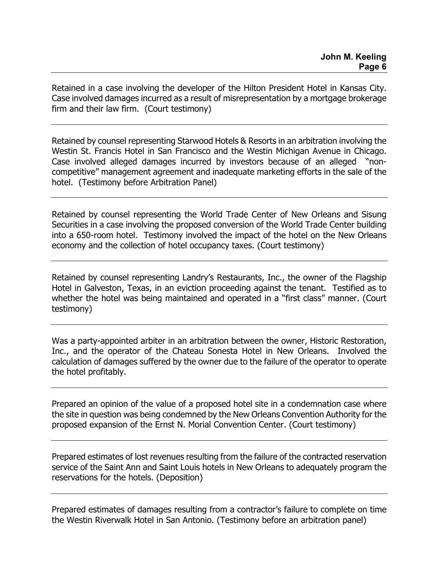Retained in a case involving the developer of the Hilton President Hotel in Kansas City. Case involved damages incurred as a result of misrepresentation by a mortgage brokerage firm and their law firm. (Court testimony)

Retained by counsel representing Starwood Hotels & Resorts in an arbitration involving the Westin St. Francis Hotel in San Francisco and the Westin Michigan Avenue in Chicago. Case involved alleged damages incurred by investors because of an alleged "noncompetitive" management agreement and inadequate marketing efforts in the sale of the hotel. (Testimony before Arbitration Panel)

Retained by counsel representing the World Trade Center of New Orleans and Sisung Securities in a case involving the proposed conversion of the World Trade Center building into a 650-room hotel. Testimony involved the impact of the hotel on the New Orleans economy and the collection of hotel occupancy taxes. (Court testimony)

Retained by counsel representing Landry's Restaurants, Inc., the owner of the Flagship Hotel in Galveston, Texas, in an eviction proceeding against the tenant. Testified as to whether the hotel was being maintained and operated in a "first class" manner. (Court testimony)

Was a party-appointed arbiter in an arbitration between the owner, Historic Restoration, Inc., and the operator of the Chateau Sonesta Hotel in New Orleans. Involved the calculation of damages suffered by the owner due to the failure of the operator to operate the hotel profitably.

Prepared an opinion of the value of a proposed hotel site in a condemnation case where the site in question was being condemned by the New Orleans Convention Authority for the proposed expansion of the Ernst N. Morial Convention Center. (Court testimony)

Prepared estimates of lost revenues resulting from the failure of the contracted reservation service of the Saint Ann and Saint Louis hotels in New Orleans to adequately program the reservations for the hotels. (Deposition)

Prepared estimates of damages resulting from a contractor's failure to complete on time the Westin Riverwalk Hotel in San Antonio. (Testimony before an arbitration panel)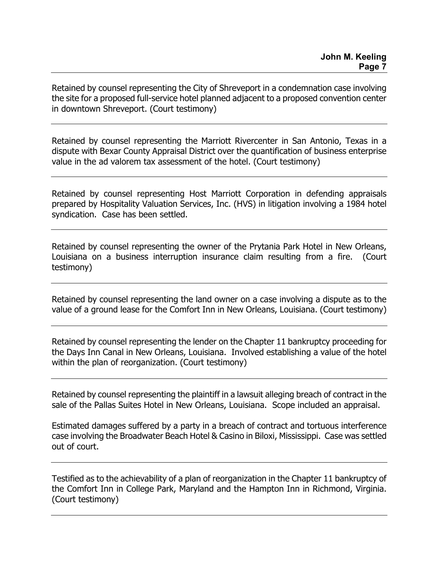Retained by counsel representing the City of Shreveport in a condemnation case involving the site for a proposed full-service hotel planned adjacent to a proposed convention center in downtown Shreveport. (Court testimony)

Retained by counsel representing the Marriott Rivercenter in San Antonio, Texas in a dispute with Bexar County Appraisal District over the quantification of business enterprise value in the ad valorem tax assessment of the hotel. (Court testimony)

Retained by counsel representing Host Marriott Corporation in defending appraisals prepared by Hospitality Valuation Services, Inc. (HVS) in litigation involving a 1984 hotel syndication. Case has been settled.

Retained by counsel representing the owner of the Prytania Park Hotel in New Orleans, Louisiana on a business interruption insurance claim resulting from a fire. (Court testimony)

Retained by counsel representing the land owner on a case involving a dispute as to the value of a ground lease for the Comfort Inn in New Orleans, Louisiana. (Court testimony)

Retained by counsel representing the lender on the Chapter 11 bankruptcy proceeding for the Days Inn Canal in New Orleans, Louisiana. Involved establishing a value of the hotel within the plan of reorganization. (Court testimony)

Retained by counsel representing the plaintiff in a lawsuit alleging breach of contract in the sale of the Pallas Suites Hotel in New Orleans, Louisiana. Scope included an appraisal.

Estimated damages suffered by a party in a breach of contract and tortuous interference case involving the Broadwater Beach Hotel & Casino in Biloxi, Mississippi. Case was settled out of court.

Testified as to the achievability of a plan of reorganization in the Chapter 11 bankruptcy of the Comfort Inn in College Park, Maryland and the Hampton Inn in Richmond, Virginia. (Court testimony)